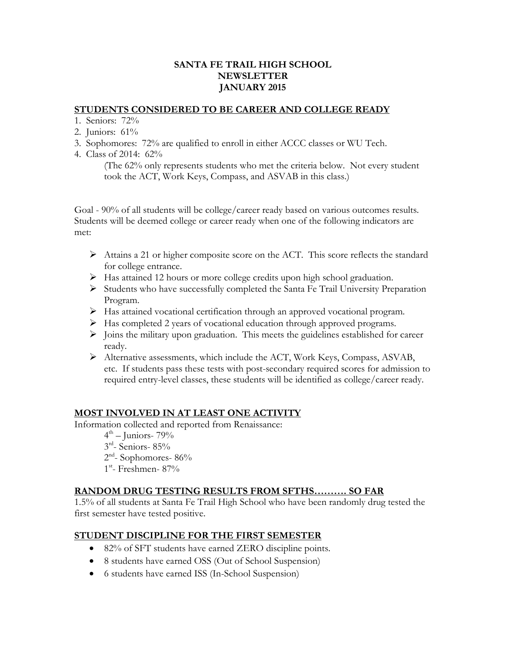### **SANTA FE TRAIL HIGH SCHOOL NEWSLETTER JANUARY 2015**

#### **STUDENTS CONSIDERED TO BE CAREER AND COLLEGE READY**

- 1. Seniors: 72%
- 2. Juniors: 61%
- 3. Sophomores: 72% are qualified to enroll in either ACCC classes or WU Tech.
- 4. Class of 2014: 62%

(The 62% only represents students who met the criteria below. Not every student took the ACT, Work Keys, Compass, and ASVAB in this class.)

Goal - 90% of all students will be college/career ready based on various outcomes results. Students will be deemed college or career ready when one of the following indicators are met:

- $\triangleright$  Attains a 21 or higher composite score on the ACT. This score reflects the standard for college entrance.
- $\triangleright$  Has attained 12 hours or more college credits upon high school graduation.
- $\triangleright$  Students who have successfully completed the Santa Fe Trail University Preparation Program.
- Has attained vocational certification through an approved vocational program.
- $\triangleright$  Has completed 2 years of vocational education through approved programs.
- $\triangleright$  Joins the military upon graduation. This meets the guidelines established for career ready.
- Alternative assessments, which include the ACT, Work Keys, Compass, ASVAB, etc. If students pass these tests with post-secondary required scores for admission to required entry-level classes, these students will be identified as college/career ready.

### **MOST INVOLVED IN AT LEAST ONE ACTIVITY**

Information collected and reported from Renaissance:

- $4<sup>th</sup>$  Juniors- 79%
- $3<sup>rd</sup>$  Seniors- 85%
- $2<sup>nd</sup>$  Sophomores- 86%
- 1<sup>st</sup>- Freshmen- 87%

### **RANDOM DRUG TESTING RESULTS FROM SFTHS………. SO FAR**

1.5% of all students at Santa Fe Trail High School who have been randomly drug tested the first semester have tested positive.

## **STUDENT DISCIPLINE FOR THE FIRST SEMESTER**

- 82% of SFT students have earned ZERO discipline points.
- 8 students have earned OSS (Out of School Suspension)
- 6 students have earned ISS (In-School Suspension)